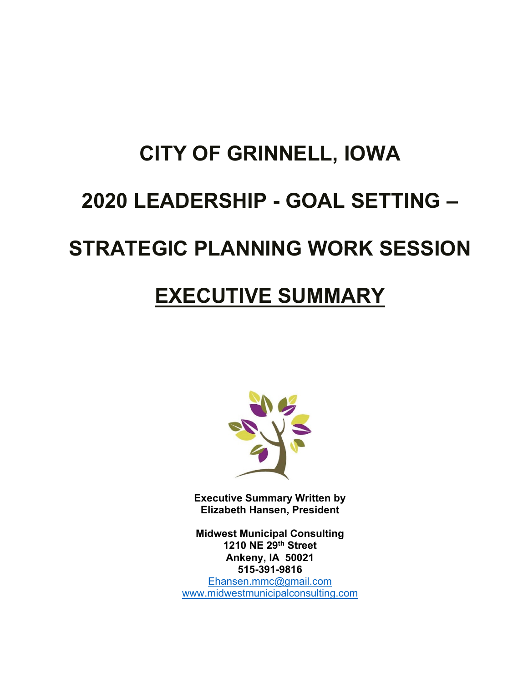# **CITY OF GRINNELL, IOWA 2020 LEADERSHIP - GOAL SETTING – STRATEGIC PLANNING WORK SESSION**

# **EXECUTIVE SUMMARY**



**Executive Summary Written by Elizabeth Hansen, President**

**Midwest Municipal Consulting 1210 NE 29th Street Ankeny, IA 50021 515-391-9816**

[Ehansen.mmc@gmail.com](mailto:Ehansen.mmc@gmail.com) [www.midwestmunicipalconsulting.com](http://www.midwestmunicipalconsulting.com/)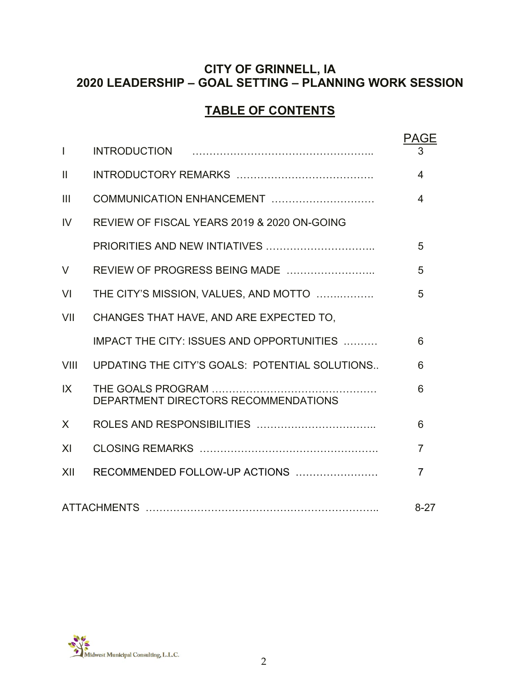# **CITY OF GRINNELL, IA 2020 LEADERSHIP – GOAL SETTING – PLANNING WORK SESSION**

# **TABLE OF CONTENTS**

|                |                                                | <b>PAGE</b>    |
|----------------|------------------------------------------------|----------------|
| $\mathbf{I}$   | <b>INTRODUCTION</b>                            | 3              |
| $\mathbf{H}$   |                                                | $\overline{4}$ |
| $\mathbf{III}$ | COMMUNICATION ENHANCEMENT                      | 4              |
| <b>IV</b>      | REVIEW OF FISCAL YEARS 2019 & 2020 ON-GOING    |                |
|                | PRIORITIES AND NEW INTIATIVES                  | 5              |
| V              |                                                | 5              |
| VI             | THE CITY'S MISSION, VALUES, AND MOTTO          | 5              |
| VII            | CHANGES THAT HAVE, AND ARE EXPECTED TO,        |                |
|                | IMPACT THE CITY: ISSUES AND OPPORTUNITIES      | 6              |
| VIII           | UPDATING THE CITY'S GOALS: POTENTIAL SOLUTIONS | 6              |
| IX             | DEPARTMENT DIRECTORS RECOMMENDATIONS           | 6              |
| X              |                                                | 6              |
| XI             |                                                | $\overline{7}$ |
| XII            | RECOMMENDED FOLLOW-UP ACTIONS                  | 7              |
|                |                                                | $8 - 27$       |

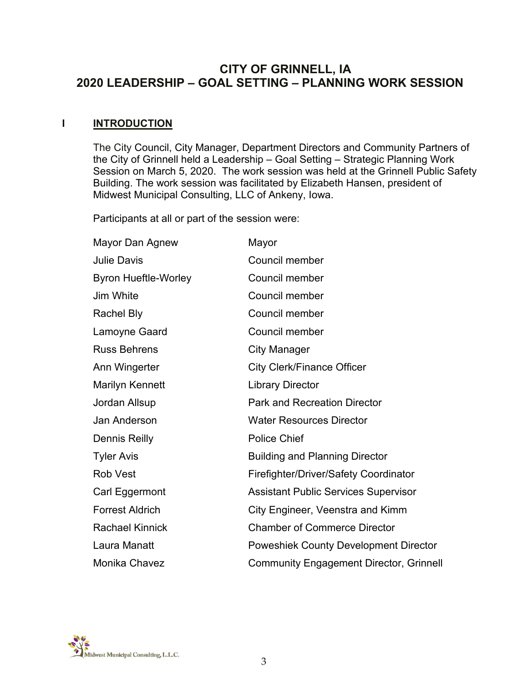### **CITY OF GRINNELL, IA 2020 LEADERSHIP – GOAL SETTING – PLANNING WORK SESSION**

#### **INTRODUCTION**

The City Council, City Manager, Department Directors and Community Partners of the City of Grinnell held a Leadership – Goal Setting – Strategic Planning Work Session on March 5, 2020. The work session was held at the Grinnell Public Safety Building. The work session was facilitated by Elizabeth Hansen, president of Midwest Municipal Consulting, LLC of Ankeny, Iowa.

Participants at all or part of the session were:

| Mayor Dan Agnew             | Mayor                                          |
|-----------------------------|------------------------------------------------|
| <b>Julie Davis</b>          | Council member                                 |
| <b>Byron Hueftle-Worley</b> | Council member                                 |
| Jim White                   | Council member                                 |
| <b>Rachel Bly</b>           | Council member                                 |
| Lamoyne Gaard               | Council member                                 |
| <b>Russ Behrens</b>         | City Manager                                   |
| Ann Wingerter               | <b>City Clerk/Finance Officer</b>              |
| <b>Marilyn Kennett</b>      | <b>Library Director</b>                        |
| Jordan Allsup               | <b>Park and Recreation Director</b>            |
| Jan Anderson                | <b>Water Resources Director</b>                |
| <b>Dennis Reilly</b>        | <b>Police Chief</b>                            |
| <b>Tyler Avis</b>           | <b>Building and Planning Director</b>          |
| <b>Rob Vest</b>             | <b>Firefighter/Driver/Safety Coordinator</b>   |
| Carl Eggermont              | <b>Assistant Public Services Supervisor</b>    |
| <b>Forrest Aldrich</b>      | City Engineer, Veenstra and Kimm               |
| <b>Rachael Kinnick</b>      | <b>Chamber of Commerce Director</b>            |
| <b>Laura Manatt</b>         | <b>Poweshiek County Development Director</b>   |
| <b>Monika Chavez</b>        | <b>Community Engagement Director, Grinnell</b> |

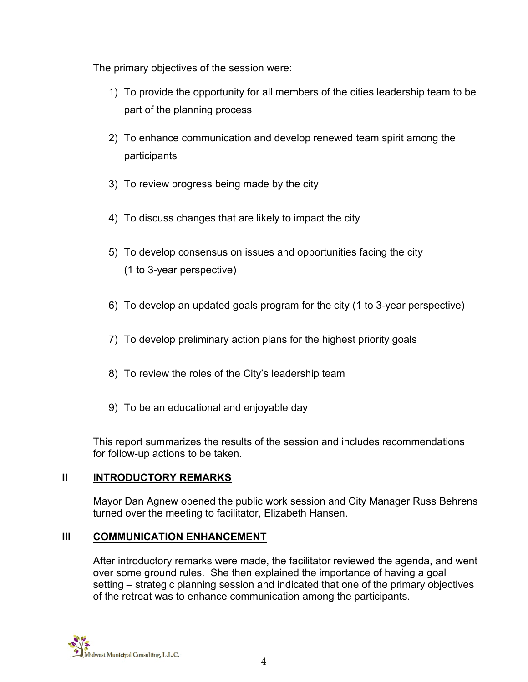The primary objectives of the session were:

- 1) To provide the opportunity for all members of the cities leadership team to be part of the planning process
- 2) To enhance communication and develop renewed team spirit among the participants
- 3) To review progress being made by the city
- 4) To discuss changes that are likely to impact the city
- 5) To develop consensus on issues and opportunities facing the city (1 to 3-year perspective)
- 6) To develop an updated goals program for the city (1 to 3-year perspective)
- 7) To develop preliminary action plans for the highest priority goals
- 8) To review the roles of the City's leadership team
- 9) To be an educational and enjoyable day

This report summarizes the results of the session and includes recommendations for follow-up actions to be taken.

#### **II INTRODUCTORY REMARKS**

Mayor Dan Agnew opened the public work session and City Manager Russ Behrens turned over the meeting to facilitator, Elizabeth Hansen.

#### **III COMMUNICATION ENHANCEMENT**

After introductory remarks were made, the facilitator reviewed the agenda, and went over some ground rules. She then explained the importance of having a goal setting – strategic planning session and indicated that one of the primary objectives of the retreat was to enhance communication among the participants.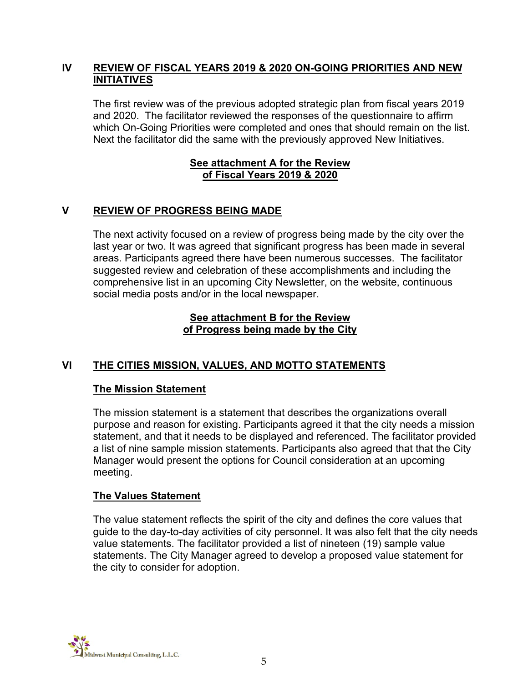#### **IV REVIEW OF FISCAL YEARS 2019 & 2020 ON-GOING PRIORITIES AND NEW INITIATIVES**

The first review was of the previous adopted strategic plan from fiscal years 2019 and 2020. The facilitator reviewed the responses of the questionnaire to affirm which On-Going Priorities were completed and ones that should remain on the list. Next the facilitator did the same with the previously approved New Initiatives.

#### **See attachment A for the Review of Fiscal Years 2019 & 2020**

#### **V REVIEW OF PROGRESS BEING MADE**

The next activity focused on a review of progress being made by the city over the last year or two. It was agreed that significant progress has been made in several areas. Participants agreed there have been numerous successes. The facilitator suggested review and celebration of these accomplishments and including the comprehensive list in an upcoming City Newsletter, on the website, continuous social media posts and/or in the local newspaper.

#### **See attachment B for the Review of Progress being made by the City**

#### **VI THE CITIES MISSION, VALUES, AND MOTTO STATEMENTS**

#### **The Mission Statement**

The mission statement is a statement that describes the organizations overall purpose and reason for existing. Participants agreed it that the city needs a mission statement, and that it needs to be displayed and referenced. The facilitator provided a list of nine sample mission statements. Participants also agreed that that the City Manager would present the options for Council consideration at an upcoming meeting.

#### **The Values Statement**

The value statement reflects the spirit of the city and defines the core values that guide to the day-to-day activities of city personnel. It was also felt that the city needs value statements. The facilitator provided a list of nineteen (19) sample value statements. The City Manager agreed to develop a proposed value statement for the city to consider for adoption.

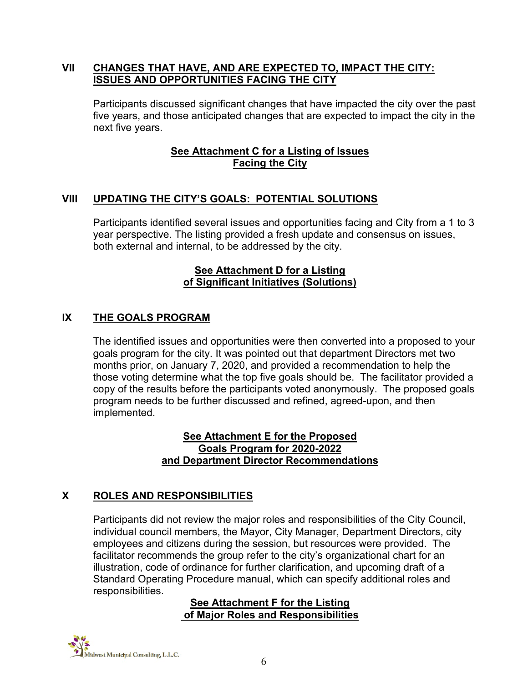#### **VII CHANGES THAT HAVE, AND ARE EXPECTED TO, IMPACT THE CITY: ISSUES AND OPPORTUNITIES FACING THE CITY**

Participants discussed significant changes that have impacted the city over the past five years, and those anticipated changes that are expected to impact the city in the next five years.

#### **See Attachment C for a Listing of Issues Facing the City**

#### **VIII UPDATING THE CITY'S GOALS: POTENTIAL SOLUTIONS**

Participants identified several issues and opportunities facing and City from a 1 to 3 year perspective. The listing provided a fresh update and consensus on issues, both external and internal, to be addressed by the city.

#### **See Attachment D for a Listing of Significant Initiatives (Solutions)**

#### **IX THE GOALS PROGRAM**

The identified issues and opportunities were then converted into a proposed to your goals program for the city. It was pointed out that department Directors met two months prior, on January 7, 2020, and provided a recommendation to help the those voting determine what the top five goals should be. The facilitator provided a copy of the results before the participants voted anonymously. The proposed goals program needs to be further discussed and refined, agreed-upon, and then implemented.

#### **See Attachment E for the Proposed Goals Program for 2020-2022 and Department Director Recommendations**

#### **X ROLES AND RESPONSIBILITIES**

Participants did not review the major roles and responsibilities of the City Council, individual council members, the Mayor, City Manager, Department Directors, city employees and citizens during the session, but resources were provided. The facilitator recommends the group refer to the city's organizational chart for an illustration, code of ordinance for further clarification, and upcoming draft of a Standard Operating Procedure manual, which can specify additional roles and responsibilities.

#### **See Attachment F for the Listing of Major Roles and Responsibilities**

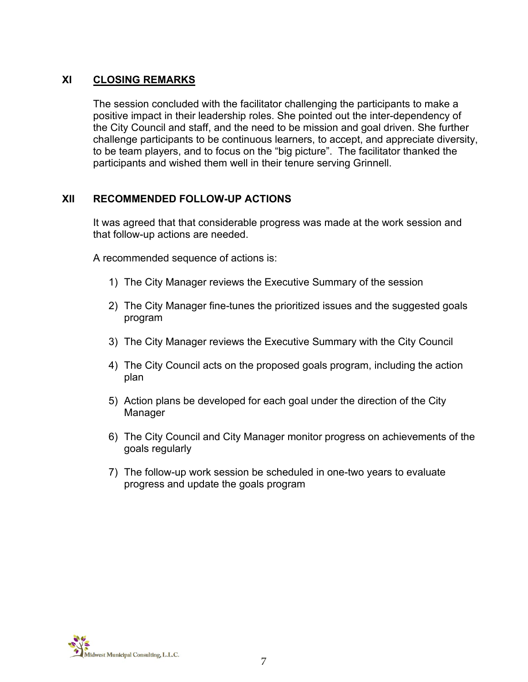#### **XI CLOSING REMARKS**

The session concluded with the facilitator challenging the participants to make a positive impact in their leadership roles. She pointed out the inter-dependency of the City Council and staff, and the need to be mission and goal driven. She further challenge participants to be continuous learners, to accept, and appreciate diversity, to be team players, and to focus on the "big picture". The facilitator thanked the participants and wished them well in their tenure serving Grinnell.

#### **XII RECOMMENDED FOLLOW-UP ACTIONS**

It was agreed that that considerable progress was made at the work session and that follow-up actions are needed.

A recommended sequence of actions is:

- 1) The City Manager reviews the Executive Summary of the session
- 2) The City Manager fine-tunes the prioritized issues and the suggested goals program
- 3) The City Manager reviews the Executive Summary with the City Council
- 4) The City Council acts on the proposed goals program, including the action plan
- 5) Action plans be developed for each goal under the direction of the City Manager
- 6) The City Council and City Manager monitor progress on achievements of the goals regularly
- 7) The follow-up work session be scheduled in one-two years to evaluate progress and update the goals program

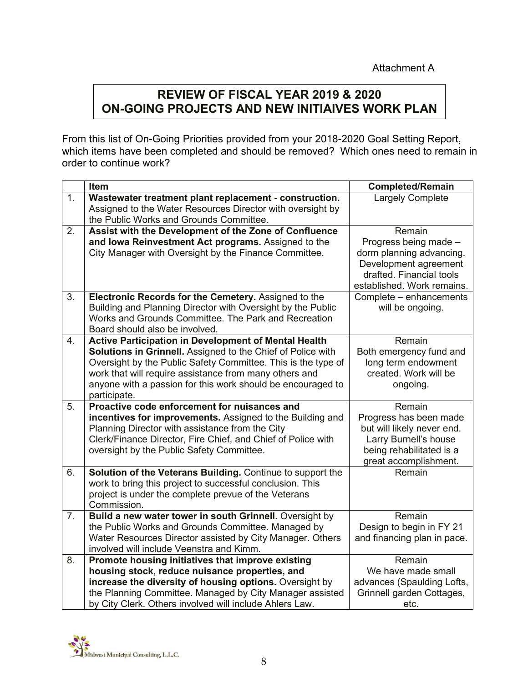# **REVIEW OF FISCAL YEAR 2019 & 2020 ON-GOING PROJECTS AND NEW INITIAIVES WORK PLAN**

From this list of On-Going Priorities provided from your 2018-2020 Goal Setting Report, which items have been completed and should be removed? Which ones need to remain in order to continue work?

|    | Item                                                          | <b>Completed/Remain</b>     |
|----|---------------------------------------------------------------|-----------------------------|
| 1. | Wastewater treatment plant replacement - construction.        | <b>Largely Complete</b>     |
|    | Assigned to the Water Resources Director with oversight by    |                             |
|    | the Public Works and Grounds Committee.                       |                             |
| 2. | Assist with the Development of the Zone of Confluence         | Remain                      |
|    | and Iowa Reinvestment Act programs. Assigned to the           | Progress being made -       |
|    | City Manager with Oversight by the Finance Committee.         | dorm planning advancing.    |
|    |                                                               | Development agreement       |
|    |                                                               | drafted. Financial tools    |
|    |                                                               | established. Work remains.  |
| 3. | Electronic Records for the Cemetery. Assigned to the          | Complete - enhancements     |
|    | Building and Planning Director with Oversight by the Public   | will be ongoing.            |
|    | Works and Grounds Committee. The Park and Recreation          |                             |
|    | Board should also be involved.                                |                             |
| 4. | <b>Active Participation in Development of Mental Health</b>   | Remain                      |
|    | Solutions in Grinnell. Assigned to the Chief of Police with   | Both emergency fund and     |
|    | Oversight by the Public Safety Committee. This is the type of | long term endowment         |
|    | work that will require assistance from many others and        | created. Work will be       |
|    | anyone with a passion for this work should be encouraged to   | ongoing.                    |
| 5. | participate.<br>Proactive code enforcement for nuisances and  | Remain                      |
|    | incentives for improvements. Assigned to the Building and     | Progress has been made      |
|    | Planning Director with assistance from the City               | but will likely never end.  |
|    | Clerk/Finance Director, Fire Chief, and Chief of Police with  | Larry Burnell's house       |
|    | oversight by the Public Safety Committee.                     | being rehabilitated is a    |
|    |                                                               | great accomplishment.       |
| 6. | Solution of the Veterans Building. Continue to support the    | Remain                      |
|    | work to bring this project to successful conclusion. This     |                             |
|    | project is under the complete prevue of the Veterans          |                             |
|    | Commission.                                                   |                             |
| 7. | Build a new water tower in south Grinnell. Oversight by       | Remain                      |
|    | the Public Works and Grounds Committee. Managed by            | Design to begin in FY 21    |
|    | Water Resources Director assisted by City Manager. Others     | and financing plan in pace. |
|    | involved will include Veenstra and Kimm.                      |                             |
| 8. | Promote housing initiatives that improve existing             | Remain                      |
|    | housing stock, reduce nuisance properties, and                | We have made small          |
|    | increase the diversity of housing options. Oversight by       | advances (Spaulding Lofts,  |
|    | the Planning Committee. Managed by City Manager assisted      | Grinnell garden Cottages,   |
|    | by City Clerk. Others involved will include Ahlers Law.       | etc.                        |

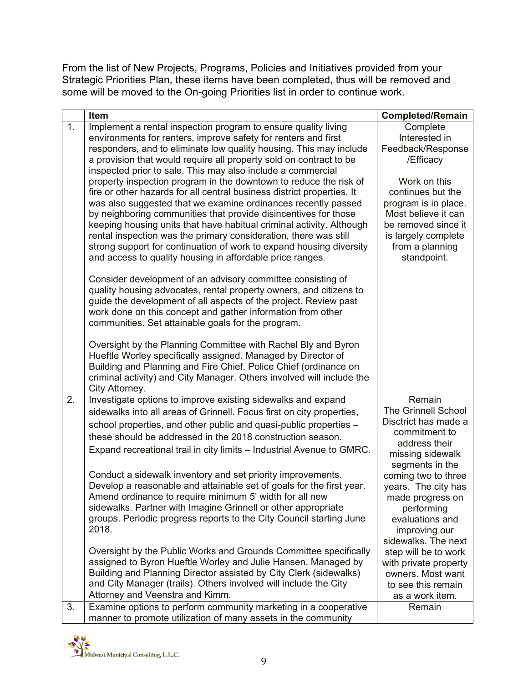From the list of New Projects, Programs, Policies and Initiatives provided from your Strategic Priorities Plan, these items have been completed, thus will be removed and some will be moved to the On-going Priorities list in order to continue work.

|    | Item                                                                                                                                      | <b>Completed/Remain</b>                     |
|----|-------------------------------------------------------------------------------------------------------------------------------------------|---------------------------------------------|
| 1. | Implement a rental inspection program to ensure quality living                                                                            | Complete                                    |
|    | environments for renters, improve safety for renters and first                                                                            | Interested in                               |
|    | responders, and to eliminate low quality housing. This may include                                                                        | Feedback/Response                           |
|    | a provision that would require all property sold on contract to be                                                                        | /Efficacy                                   |
|    | inspected prior to sale. This may also include a commercial                                                                               |                                             |
|    | property inspection program in the downtown to reduce the risk of                                                                         | Work on this                                |
|    | fire or other hazards for all central business district properties. It                                                                    | continues but the                           |
|    | was also suggested that we examine ordinances recently passed<br>by neighboring communities that provide disincentives for those          | program is in place.<br>Most believe it can |
|    | keeping housing units that have habitual criminal activity. Although                                                                      | be removed since it                         |
|    | rental inspection was the primary consideration, there was still                                                                          | is largely complete                         |
|    | strong support for continuation of work to expand housing diversity                                                                       | from a planning                             |
|    | and access to quality housing in affordable price ranges.                                                                                 | standpoint.                                 |
|    |                                                                                                                                           |                                             |
|    | Consider development of an advisory committee consisting of                                                                               |                                             |
|    | quality housing advocates, rental property owners, and citizens to                                                                        |                                             |
|    | guide the development of all aspects of the project. Review past                                                                          |                                             |
|    | work done on this concept and gather information from other                                                                               |                                             |
|    | communities. Set attainable goals for the program.                                                                                        |                                             |
|    |                                                                                                                                           |                                             |
|    | Oversight by the Planning Committee with Rachel Bly and Byron                                                                             |                                             |
|    | Hueftle Worley specifically assigned. Managed by Director of                                                                              |                                             |
|    | Building and Planning and Fire Chief, Police Chief (ordinance on<br>criminal activity) and City Manager. Others involved will include the |                                             |
|    | City Attorney.                                                                                                                            |                                             |
| 2. | Investigate options to improve existing sidewalks and expand                                                                              | Remain                                      |
|    | sidewalks into all areas of Grinnell. Focus first on city properties,                                                                     | <b>The Grinnell School</b>                  |
|    | school properties, and other public and quasi-public properties -                                                                         | Disctrict has made a                        |
|    | these should be addressed in the 2018 construction season.                                                                                | commitment to                               |
|    | Expand recreational trail in city limits - Industrial Avenue to GMRC.                                                                     | address their                               |
|    |                                                                                                                                           | missing sidewalk                            |
|    |                                                                                                                                           | segments in the                             |
|    | Conduct a sidewalk inventory and set priority improvements.<br>Develop a reasonable and attainable set of goals for the first year.       | coming two to three                         |
|    | Amend ordinance to require minimum 5' width for all new                                                                                   | years. The city has                         |
|    | sidewalks. Partner with Imagine Grinnell or other appropriate                                                                             | made progress on<br>performing              |
|    | groups. Periodic progress reports to the City Council starting June                                                                       | evaluations and                             |
|    | 2018.                                                                                                                                     | improving our                               |
|    |                                                                                                                                           | sidewalks. The next                         |
|    | Oversight by the Public Works and Grounds Committee specifically                                                                          | step will be to work                        |
|    | assigned to Byron Hueftle Worley and Julie Hansen. Managed by                                                                             | with private property                       |
|    | Building and Planning Director assisted by City Clerk (sidewalks)                                                                         | owners. Most want                           |
|    | and City Manager (trails). Others involved will include the City                                                                          | to see this remain                          |
|    | Attorney and Veenstra and Kimm.                                                                                                           | as a work item.                             |
| 3. | Examine options to perform community marketing in a cooperative                                                                           | Remain                                      |
|    | manner to promote utilization of many assets in the community                                                                             |                                             |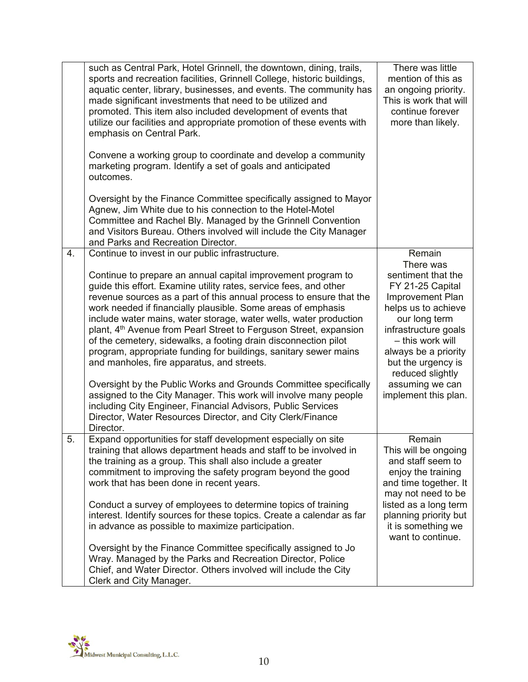|    | such as Central Park, Hotel Grinnell, the downtown, dining, trails,<br>sports and recreation facilities, Grinnell College, historic buildings,<br>aquatic center, library, businesses, and events. The community has<br>made significant investments that need to be utilized and<br>promoted. This item also included development of events that<br>utilize our facilities and appropriate promotion of these events with<br>emphasis on Central Park.<br>Convene a working group to coordinate and develop a community<br>marketing program. Identify a set of goals and anticipated<br>outcomes.                                                                                                                                                                                                                                                                                                                                                        | There was little<br>mention of this as<br>an ongoing priority.<br>This is work that will<br>continue forever<br>more than likely.                                                                                                                                                  |
|----|------------------------------------------------------------------------------------------------------------------------------------------------------------------------------------------------------------------------------------------------------------------------------------------------------------------------------------------------------------------------------------------------------------------------------------------------------------------------------------------------------------------------------------------------------------------------------------------------------------------------------------------------------------------------------------------------------------------------------------------------------------------------------------------------------------------------------------------------------------------------------------------------------------------------------------------------------------|------------------------------------------------------------------------------------------------------------------------------------------------------------------------------------------------------------------------------------------------------------------------------------|
|    | Oversight by the Finance Committee specifically assigned to Mayor<br>Agnew, Jim White due to his connection to the Hotel-Motel<br>Committee and Rachel Bly. Managed by the Grinnell Convention<br>and Visitors Bureau. Others involved will include the City Manager<br>and Parks and Recreation Director.                                                                                                                                                                                                                                                                                                                                                                                                                                                                                                                                                                                                                                                 |                                                                                                                                                                                                                                                                                    |
| 4. | Continue to invest in our public infrastructure.<br>Continue to prepare an annual capital improvement program to<br>guide this effort. Examine utility rates, service fees, and other<br>revenue sources as a part of this annual process to ensure that the<br>work needed if financially plausible. Some areas of emphasis<br>include water mains, water storage, water wells, water production<br>plant, 4 <sup>th</sup> Avenue from Pearl Street to Ferguson Street, expansion<br>of the cemetery, sidewalks, a footing drain disconnection pilot<br>program, appropriate funding for buildings, sanitary sewer mains<br>and manholes, fire apparatus, and streets.<br>Oversight by the Public Works and Grounds Committee specifically<br>assigned to the City Manager. This work will involve many people<br>including City Engineer, Financial Advisors, Public Services<br>Director, Water Resources Director, and City Clerk/Finance<br>Director. | Remain<br>There was<br>sentiment that the<br>FY 21-25 Capital<br>Improvement Plan<br>helps us to achieve<br>our long term<br>infrastructure goals<br>- this work will<br>always be a priority<br>but the urgency is<br>reduced slightly<br>assuming we can<br>implement this plan. |
| 5. | Expand opportunities for staff development especially on site<br>training that allows department heads and staff to be involved in<br>the training as a group. This shall also include a greater<br>commitment to improving the safety program beyond the good<br>work that has been done in recent years.<br>Conduct a survey of employees to determine topics of training<br>interest. Identify sources for these topics. Create a calendar as far<br>in advance as possible to maximize participation.<br>Oversight by the Finance Committee specifically assigned to Jo<br>Wray. Managed by the Parks and Recreation Director, Police<br>Chief, and Water Director. Others involved will include the City<br>Clerk and City Manager.                                                                                                                                                                                                                   | Remain<br>This will be ongoing<br>and staff seem to<br>enjoy the training<br>and time together. It<br>may not need to be<br>listed as a long term<br>planning priority but<br>it is something we<br>want to continue.                                                              |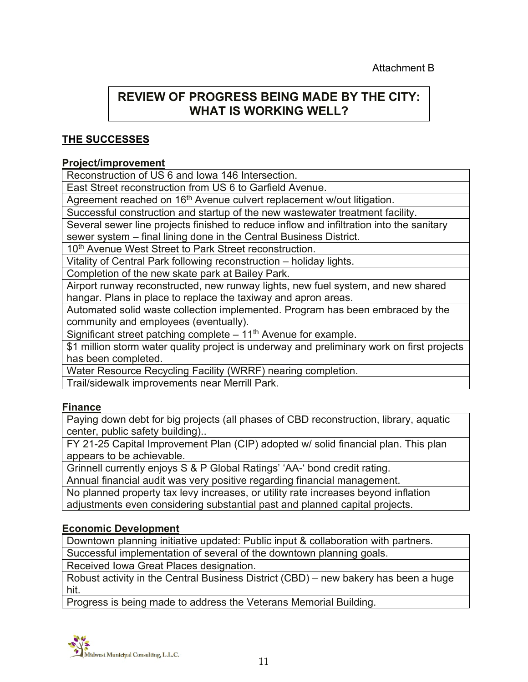# **REVIEW OF PROGRESS BEING MADE BY THE CITY: WHAT IS WORKING WELL?**

#### **THE SUCCESSES**

#### **Project/improvement**

Reconstruction of US 6 and Iowa 146 Intersection.

East Street reconstruction from US 6 to Garfield Avenue.

Agreement reached on 16<sup>th</sup> Avenue culvert replacement w/out litigation.

Successful construction and startup of the new wastewater treatment facility.

Several sewer line projects finished to reduce inflow and infiltration into the sanitary sewer system – final lining done in the Central Business District.

10<sup>th</sup> Avenue West Street to Park Street reconstruction.

Vitality of Central Park following reconstruction – holiday lights.

Completion of the new skate park at Bailey Park.

Airport runway reconstructed, new runway lights, new fuel system, and new shared hangar. Plans in place to replace the taxiway and apron areas.

Automated solid waste collection implemented. Program has been embraced by the community and employees (eventually).

Significant street patching complete – 11<sup>th</sup> Avenue for example.

\$1 million storm water quality project is underway and preliminary work on first projects has been completed.

Water Resource Recycling Facility (WRRF) nearing completion.

Trail/sidewalk improvements near Merrill Park.

#### **Finance**

Paying down debt for big projects (all phases of CBD reconstruction, library, aquatic center, public safety building)..

FY 21-25 Capital Improvement Plan (CIP) adopted w/ solid financial plan. This plan appears to be achievable.

Grinnell currently enjoys S & P Global Ratings' 'AA-' bond credit rating.

Annual financial audit was very positive regarding financial management.

No planned property tax levy increases, or utility rate increases beyond inflation adjustments even considering substantial past and planned capital projects.

#### **Economic Development**

Downtown planning initiative updated: Public input & collaboration with partners.

Successful implementation of several of the downtown planning goals.

Received Iowa Great Places designation.

Robust activity in the Central Business District (CBD) – new bakery has been a huge hit.

Progress is being made to address the Veterans Memorial Building.

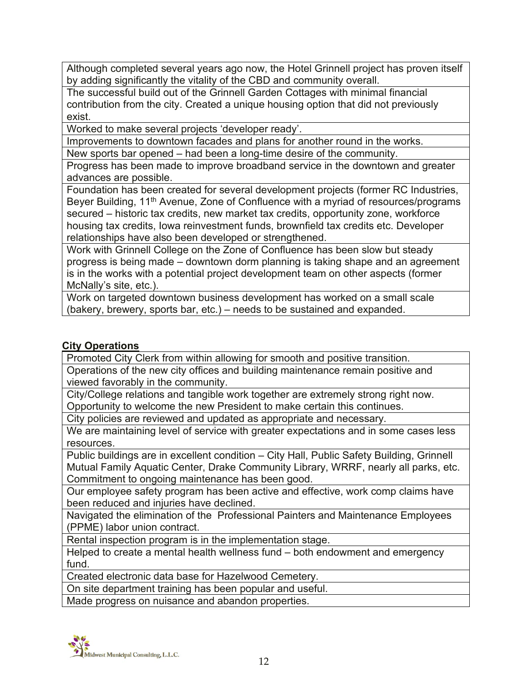Although completed several years ago now, the Hotel Grinnell project has proven itself by adding significantly the vitality of the CBD and community overall.

The successful build out of the Grinnell Garden Cottages with minimal financial contribution from the city. Created a unique housing option that did not previously exist.

Worked to make several projects 'developer ready'.

Improvements to downtown facades and plans for another round in the works.

New sports bar opened – had been a long-time desire of the community.

Progress has been made to improve broadband service in the downtown and greater advances are possible.

Foundation has been created for several development projects (former RC Industries, Beyer Building, 11<sup>th</sup> Avenue, Zone of Confluence with a myriad of resources/programs secured – historic tax credits, new market tax credits, opportunity zone, workforce housing tax credits, Iowa reinvestment funds, brownfield tax credits etc. Developer relationships have also been developed or strengthened.

Work with Grinnell College on the Zone of Confluence has been slow but steady progress is being made – downtown dorm planning is taking shape and an agreement is in the works with a potential project development team on other aspects (former McNally's site, etc.).

Work on targeted downtown business development has worked on a small scale (bakery, brewery, sports bar, etc.) – needs to be sustained and expanded.

#### **City Operations**

Promoted City Clerk from within allowing for smooth and positive transition.

Operations of the new city offices and building maintenance remain positive and viewed favorably in the community.

City/College relations and tangible work together are extremely strong right now. Opportunity to welcome the new President to make certain this continues.

City policies are reviewed and updated as appropriate and necessary.

We are maintaining level of service with greater expectations and in some cases less resources.

Public buildings are in excellent condition – City Hall, Public Safety Building, Grinnell Mutual Family Aquatic Center, Drake Community Library, WRRF, nearly all parks, etc. Commitment to ongoing maintenance has been good.

Our employee safety program has been active and effective, work comp claims have been reduced and injuries have declined.

Navigated the elimination of the Professional Painters and Maintenance Employees (PPME) labor union contract.

Rental inspection program is in the implementation stage.

Helped to create a mental health wellness fund – both endowment and emergency fund.

Created electronic data base for Hazelwood Cemetery.

On site department training has been popular and useful.

Made progress on nuisance and abandon properties.

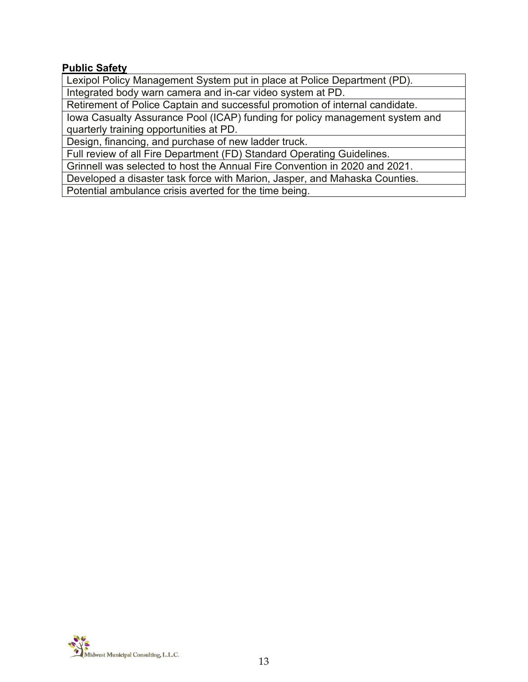#### **Public Safety**

Lexipol Policy Management System put in place at Police Department (PD). Integrated body warn camera and in-car video system at PD.

Retirement of Police Captain and successful promotion of internal candidate.

Iowa Casualty Assurance Pool (ICAP) funding for policy management system and quarterly training opportunities at PD.

Design, financing, and purchase of new ladder truck.

Full review of all Fire Department (FD) Standard Operating Guidelines.

Grinnell was selected to host the Annual Fire Convention in 2020 and 2021.

Developed a disaster task force with Marion, Jasper, and Mahaska Counties.

Potential ambulance crisis averted for the time being.

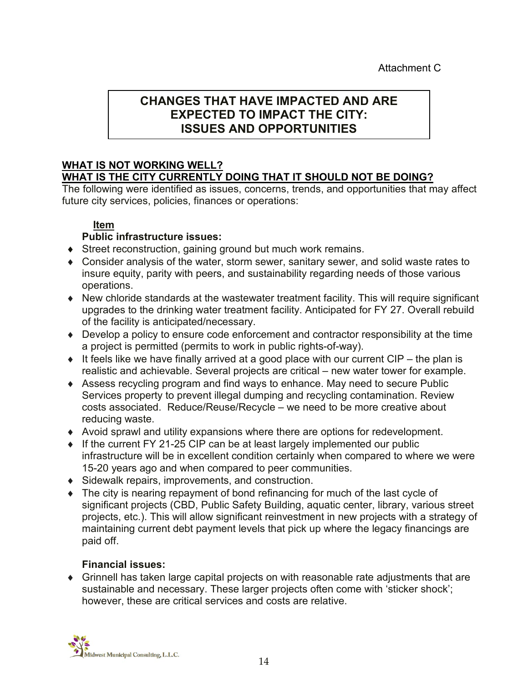# **CHANGES THAT HAVE IMPACTED AND ARE EXPECTED TO IMPACT THE CITY: ISSUES AND OPPORTUNITIES**

#### **WHAT IS NOT WORKING WELL? WHAT IS THE CITY CURRENTLY DOING THAT IT SHOULD NOT BE DOING?**

The following were identified as issues, concerns, trends, and opportunities that may affect future city services, policies, finances or operations:

#### **Item**

#### **Public infrastructure issues:**

- ♦ Street reconstruction, gaining ground but much work remains.
- ♦ Consider analysis of the water, storm sewer, sanitary sewer, and solid waste rates to insure equity, parity with peers, and sustainability regarding needs of those various operations.
- ♦ New chloride standards at the wastewater treatment facility. This will require significant upgrades to the drinking water treatment facility. Anticipated for FY 27. Overall rebuild of the facility is anticipated/necessary.
- ♦ Develop a policy to ensure code enforcement and contractor responsibility at the time a project is permitted (permits to work in public rights-of-way).
- $\bullet$  It feels like we have finally arrived at a good place with our current CIP the plan is realistic and achievable. Several projects are critical – new water tower for example.
- ♦ Assess recycling program and find ways to enhance. May need to secure Public Services property to prevent illegal dumping and recycling contamination. Review costs associated. Reduce/Reuse/Recycle – we need to be more creative about reducing waste.
- ♦ Avoid sprawl and utility expansions where there are options for redevelopment.
- ♦ If the current FY 21-25 CIP can be at least largely implemented our public infrastructure will be in excellent condition certainly when compared to where we were 15-20 years ago and when compared to peer communities.
- ♦ Sidewalk repairs, improvements, and construction.
- ♦ The city is nearing repayment of bond refinancing for much of the last cycle of significant projects (CBD, Public Safety Building, aquatic center, library, various street projects, etc.). This will allow significant reinvestment in new projects with a strategy of maintaining current debt payment levels that pick up where the legacy financings are paid off.

#### **Financial issues:**

♦ Grinnell has taken large capital projects on with reasonable rate adjustments that are sustainable and necessary. These larger projects often come with 'sticker shock'; however, these are critical services and costs are relative.

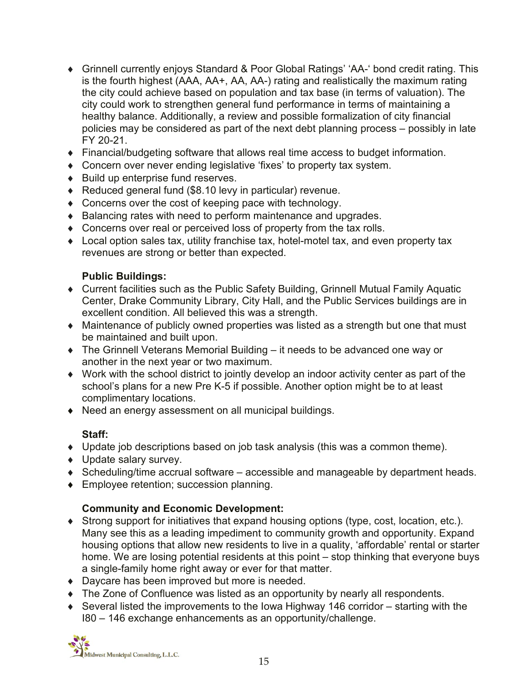- ♦ Grinnell currently enjoys Standard & Poor Global Ratings' 'AA-' bond credit rating. This is the fourth highest (AAA, AA+, AA, AA-) rating and realistically the maximum rating the city could achieve based on population and tax base (in terms of valuation). The city could work to strengthen general fund performance in terms of maintaining a healthy balance. Additionally, a review and possible formalization of city financial policies may be considered as part of the next debt planning process – possibly in late FY 20-21.
- ♦ Financial/budgeting software that allows real time access to budget information.
- ♦ Concern over never ending legislative 'fixes' to property tax system.
- ♦ Build up enterprise fund reserves.
- ♦ Reduced general fund (\$8.10 levy in particular) revenue.
- ♦ Concerns over the cost of keeping pace with technology.
- ♦ Balancing rates with need to perform maintenance and upgrades.
- ♦ Concerns over real or perceived loss of property from the tax rolls.
- ♦ Local option sales tax, utility franchise tax, hotel-motel tax, and even property tax revenues are strong or better than expected.

#### **Public Buildings:**

- ♦ Current facilities such as the Public Safety Building, Grinnell Mutual Family Aquatic Center, Drake Community Library, City Hall, and the Public Services buildings are in excellent condition. All believed this was a strength.
- ♦ Maintenance of publicly owned properties was listed as a strength but one that must be maintained and built upon.
- ♦ The Grinnell Veterans Memorial Building it needs to be advanced one way or another in the next year or two maximum.
- ♦ Work with the school district to jointly develop an indoor activity center as part of the school's plans for a new Pre K-5 if possible. Another option might be to at least complimentary locations.
- ♦ Need an energy assessment on all municipal buildings.

#### **Staff:**

- ♦ Update job descriptions based on job task analysis (this was a common theme).
- ♦ Update salary survey.
- ♦ Scheduling/time accrual software accessible and manageable by department heads.
- ♦ Employee retention; succession planning.

#### **Community and Economic Development:**

- ♦ Strong support for initiatives that expand housing options (type, cost, location, etc.). Many see this as a leading impediment to community growth and opportunity. Expand housing options that allow new residents to live in a quality, 'affordable' rental or starter home. We are losing potential residents at this point – stop thinking that everyone buys a single-family home right away or ever for that matter.
- ♦ Daycare has been improved but more is needed.
- ♦ The Zone of Confluence was listed as an opportunity by nearly all respondents.
- ♦ Several listed the improvements to the Iowa Highway 146 corridor starting with the I80 – 146 exchange enhancements as an opportunity/challenge.

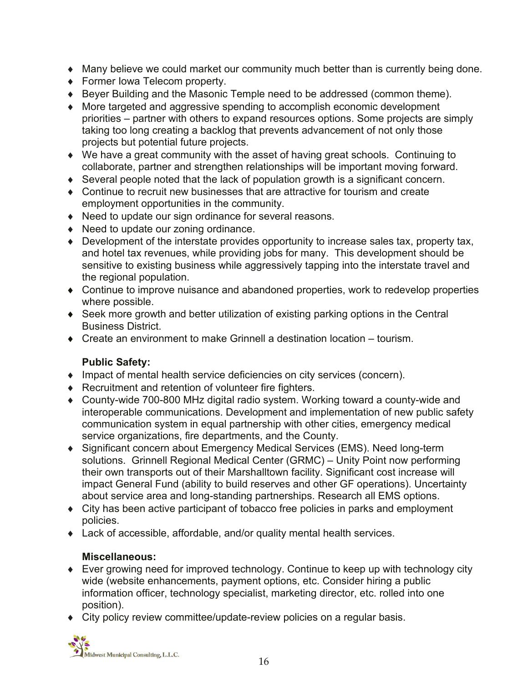- ♦ Many believe we could market our community much better than is currently being done.
- ♦ Former Iowa Telecom property.
- ♦ Beyer Building and the Masonic Temple need to be addressed (common theme).
- ♦ More targeted and aggressive spending to accomplish economic development priorities – partner with others to expand resources options. Some projects are simply taking too long creating a backlog that prevents advancement of not only those projects but potential future projects.
- ♦ We have a great community with the asset of having great schools. Continuing to collaborate, partner and strengthen relationships will be important moving forward.
- ♦ Several people noted that the lack of population growth is a significant concern.
- $\bullet$  Continue to recruit new businesses that are attractive for tourism and create employment opportunities in the community.
- ♦ Need to update our sign ordinance for several reasons.
- ♦ Need to update our zoning ordinance.
- ♦ Development of the interstate provides opportunity to increase sales tax, property tax, and hotel tax revenues, while providing jobs for many. This development should be sensitive to existing business while aggressively tapping into the interstate travel and the regional population.
- ♦ Continue to improve nuisance and abandoned properties, work to redevelop properties where possible.
- ◆ Seek more growth and better utilization of existing parking options in the Central Business District.
- $\bullet$  Create an environment to make Grinnell a destination location tourism.

#### **Public Safety:**

- ♦ Impact of mental health service deficiencies on city services (concern).
- ♦ Recruitment and retention of volunteer fire fighters.
- ♦ County-wide 700-800 MHz digital radio system. Working toward a county-wide and interoperable communications. Development and implementation of new public safety communication system in equal partnership with other cities, emergency medical service organizations, fire departments, and the County.
- ♦ Significant concern about Emergency Medical Services (EMS). Need long-term solutions. Grinnell Regional Medical Center (GRMC) – Unity Point now performing their own transports out of their Marshalltown facility. Significant cost increase will impact General Fund (ability to build reserves and other GF operations). Uncertainty about service area and long-standing partnerships. Research all EMS options.
- ♦ City has been active participant of tobacco free policies in parks and employment policies.
- $\bullet$  Lack of accessible, affordable, and/or quality mental health services.

#### **Miscellaneous:**

- ♦ Ever growing need for improved technology. Continue to keep up with technology city wide (website enhancements, payment options, etc. Consider hiring a public information officer, technology specialist, marketing director, etc. rolled into one position).
- ♦ City policy review committee/update-review policies on a regular basis.

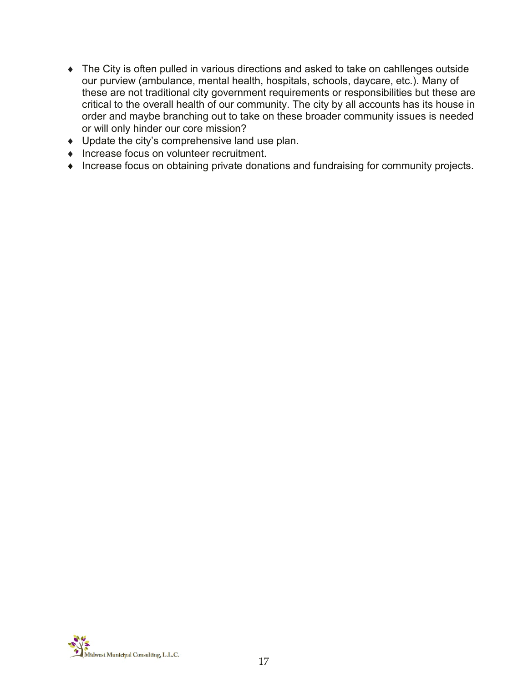- ♦ The City is often pulled in various directions and asked to take on cahllenges outside our purview (ambulance, mental health, hospitals, schools, daycare, etc.). Many of these are not traditional city government requirements or responsibilities but these are critical to the overall health of our community. The city by all accounts has its house in order and maybe branching out to take on these broader community issues is needed or will only hinder our core mission?
- ♦ Update the city's comprehensive land use plan.
- ♦ Increase focus on volunteer recruitment.
- ♦ Increase focus on obtaining private donations and fundraising for community projects.

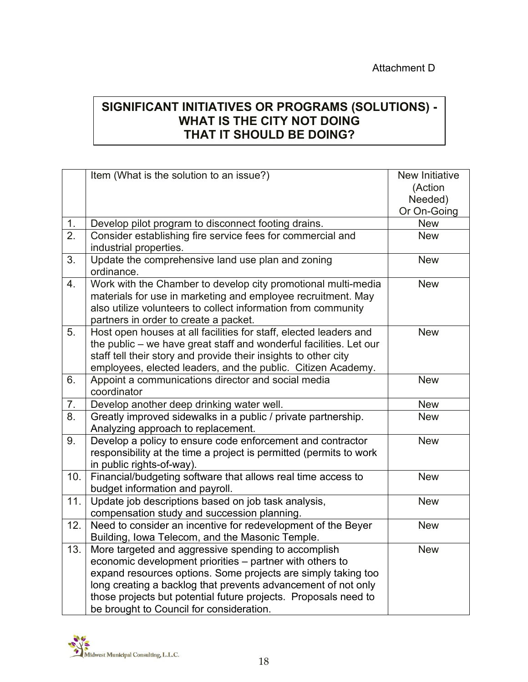#### Attachment D

# **SIGNIFICANT INITIATIVES OR PROGRAMS (SOLUTIONS) - WHAT IS THE CITY NOT DOING THAT IT SHOULD BE DOING?**

|                  | Item (What is the solution to an issue?)                                             | New Initiative |
|------------------|--------------------------------------------------------------------------------------|----------------|
|                  |                                                                                      | (Action        |
|                  |                                                                                      | Needed)        |
|                  |                                                                                      | Or On-Going    |
| 1.               | Develop pilot program to disconnect footing drains.                                  | <b>New</b>     |
| $\overline{2}$ . | Consider establishing fire service fees for commercial and<br>industrial properties. | <b>New</b>     |
| 3.               | Update the comprehensive land use plan and zoning                                    | <b>New</b>     |
|                  | ordinance.                                                                           |                |
| 4.               | Work with the Chamber to develop city promotional multi-media                        | <b>New</b>     |
|                  | materials for use in marketing and employee recruitment. May                         |                |
|                  | also utilize volunteers to collect information from community                        |                |
|                  | partners in order to create a packet.                                                |                |
| 5.               | Host open houses at all facilities for staff, elected leaders and                    | <b>New</b>     |
|                  | the public – we have great staff and wonderful facilities. Let our                   |                |
|                  | staff tell their story and provide their insights to other city                      |                |
|                  | employees, elected leaders, and the public. Citizen Academy.                         |                |
| 6.               | Appoint a communications director and social media                                   | <b>New</b>     |
|                  | coordinator                                                                          |                |
| 7.               | Develop another deep drinking water well.                                            | <b>New</b>     |
| 8.               | Greatly improved sidewalks in a public / private partnership.                        | <b>New</b>     |
|                  | Analyzing approach to replacement.                                                   |                |
| 9.               | Develop a policy to ensure code enforcement and contractor                           | <b>New</b>     |
|                  | responsibility at the time a project is permitted (permits to work                   |                |
|                  | in public rights-of-way).                                                            |                |
| 10.              | Financial/budgeting software that allows real time access to                         | <b>New</b>     |
|                  | budget information and payroll.                                                      |                |
| 11.              | Update job descriptions based on job task analysis,                                  | <b>New</b>     |
|                  | compensation study and succession planning.                                          |                |
| 12.              | Need to consider an incentive for redevelopment of the Beyer                         | <b>New</b>     |
|                  | Building, Iowa Telecom, and the Masonic Temple.                                      |                |
| 13.              | More targeted and aggressive spending to accomplish                                  | <b>New</b>     |
|                  | economic development priorities - partner with others to                             |                |
|                  | expand resources options. Some projects are simply taking too                        |                |
|                  | long creating a backlog that prevents advancement of not only                        |                |
|                  | those projects but potential future projects. Proposals need to                      |                |
|                  | be brought to Council for consideration.                                             |                |

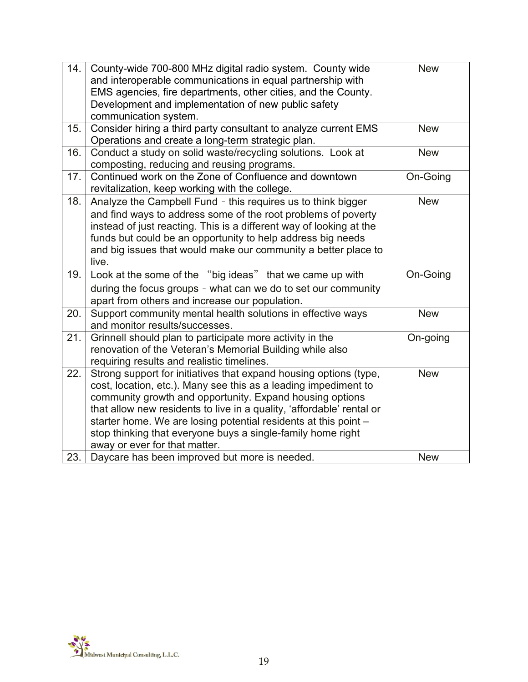| 14. | County-wide 700-800 MHz digital radio system. County wide<br>and interoperable communications in equal partnership with<br>EMS agencies, fire departments, other cities, and the County.                                                                                                                                                                                                                                                     | <b>New</b> |
|-----|----------------------------------------------------------------------------------------------------------------------------------------------------------------------------------------------------------------------------------------------------------------------------------------------------------------------------------------------------------------------------------------------------------------------------------------------|------------|
|     | Development and implementation of new public safety<br>communication system.                                                                                                                                                                                                                                                                                                                                                                 |            |
| 15. | Consider hiring a third party consultant to analyze current EMS<br>Operations and create a long-term strategic plan.                                                                                                                                                                                                                                                                                                                         | <b>New</b> |
| 16. | Conduct a study on solid waste/recycling solutions. Look at<br>composting, reducing and reusing programs.                                                                                                                                                                                                                                                                                                                                    | <b>New</b> |
| 17. | Continued work on the Zone of Confluence and downtown<br>revitalization, keep working with the college.                                                                                                                                                                                                                                                                                                                                      | On-Going   |
| 18. | Analyze the Campbell Fund - this requires us to think bigger<br>and find ways to address some of the root problems of poverty<br>instead of just reacting. This is a different way of looking at the<br>funds but could be an opportunity to help address big needs<br>and big issues that would make our community a better place to<br>live.                                                                                               | <b>New</b> |
| 19. | Look at the some of the "big ideas" that we came up with<br>during the focus groups - what can we do to set our community<br>apart from others and increase our population.                                                                                                                                                                                                                                                                  | On-Going   |
| 20. | Support community mental health solutions in effective ways<br>and monitor results/successes.                                                                                                                                                                                                                                                                                                                                                | <b>New</b> |
| 21. | Grinnell should plan to participate more activity in the<br>renovation of the Veteran's Memorial Building while also<br>requiring results and realistic timelines.                                                                                                                                                                                                                                                                           | On-going   |
| 22. | Strong support for initiatives that expand housing options (type,<br>cost, location, etc.). Many see this as a leading impediment to<br>community growth and opportunity. Expand housing options<br>that allow new residents to live in a quality, 'affordable' rental or<br>starter home. We are losing potential residents at this point -<br>stop thinking that everyone buys a single-family home right<br>away or ever for that matter. | <b>New</b> |
| 23. | Daycare has been improved but more is needed.                                                                                                                                                                                                                                                                                                                                                                                                | <b>New</b> |

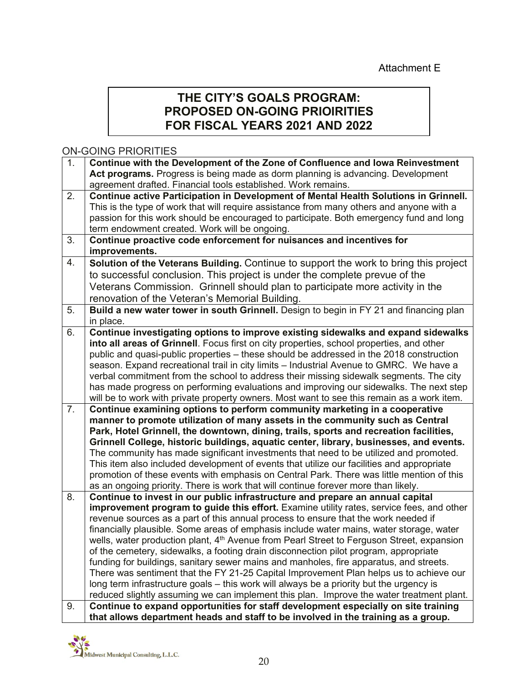# **THE CITY'S GOALS PROGRAM: PROPOSED ON-GOING PRIOIRITIES FOR FISCAL YEARS 2021 AND 2022**

#### ON-GOING PRIORITIES

| 1.<br>Continue with the Development of the Zone of Confluence and lowa Reinvestment                                                                                             |  |
|---------------------------------------------------------------------------------------------------------------------------------------------------------------------------------|--|
| Act programs. Progress is being made as dorm planning is advancing. Development                                                                                                 |  |
| agreement drafted. Financial tools established. Work remains.                                                                                                                   |  |
| 2.<br>Continue active Participation in Development of Mental Health Solutions in Grinnell.                                                                                      |  |
| This is the type of work that will require assistance from many others and anyone with a                                                                                        |  |
| passion for this work should be encouraged to participate. Both emergency fund and long                                                                                         |  |
| term endowment created. Work will be ongoing.                                                                                                                                   |  |
| Continue proactive code enforcement for nuisances and incentives for<br>3.                                                                                                      |  |
| improvements.                                                                                                                                                                   |  |
| 4.<br>Solution of the Veterans Building. Continue to support the work to bring this project                                                                                     |  |
| to successful conclusion. This project is under the complete prevue of the                                                                                                      |  |
| Veterans Commission. Grinnell should plan to participate more activity in the                                                                                                   |  |
| renovation of the Veteran's Memorial Building.                                                                                                                                  |  |
| Build a new water tower in south Grinnell. Design to begin in FY 21 and financing plan<br>5.                                                                                    |  |
| in place.                                                                                                                                                                       |  |
| Continue investigating options to improve existing sidewalks and expand sidewalks<br>6.                                                                                         |  |
| into all areas of Grinnell. Focus first on city properties, school properties, and other                                                                                        |  |
| public and quasi-public properties – these should be addressed in the 2018 construction                                                                                         |  |
| season. Expand recreational trail in city limits – Industrial Avenue to GMRC. We have a                                                                                         |  |
| verbal commitment from the school to address their missing sidewalk segments. The city                                                                                          |  |
| has made progress on performing evaluations and improving our sidewalks. The next step                                                                                          |  |
| will be to work with private property owners. Most want to see this remain as a work item.                                                                                      |  |
| 7.<br>Continue examining options to perform community marketing in a cooperative                                                                                                |  |
| manner to promote utilization of many assets in the community such as Central                                                                                                   |  |
| Park, Hotel Grinnell, the downtown, dining, trails, sports and recreation facilities,                                                                                           |  |
| Grinnell College, historic buildings, aquatic center, library, businesses, and events.                                                                                          |  |
| The community has made significant investments that need to be utilized and promoted.                                                                                           |  |
| This item also included development of events that utilize our facilities and appropriate                                                                                       |  |
| promotion of these events with emphasis on Central Park. There was little mention of this<br>as an ongoing priority. There is work that will continue forever more than likely. |  |
| Continue to invest in our public infrastructure and prepare an annual capital<br>8.                                                                                             |  |
| improvement program to guide this effort. Examine utility rates, service fees, and other                                                                                        |  |
| revenue sources as a part of this annual process to ensure that the work needed if                                                                                              |  |
| financially plausible. Some areas of emphasis include water mains, water storage, water                                                                                         |  |
| wells, water production plant, 4 <sup>th</sup> Avenue from Pearl Street to Ferguson Street, expansion                                                                           |  |
| of the cemetery, sidewalks, a footing drain disconnection pilot program, appropriate                                                                                            |  |
| funding for buildings, sanitary sewer mains and manholes, fire apparatus, and streets.                                                                                          |  |
| There was sentiment that the FY 21-25 Capital Improvement Plan helps us to achieve our                                                                                          |  |
| long term infrastructure goals – this work will always be a priority but the urgency is                                                                                         |  |
| reduced slightly assuming we can implement this plan. Improve the water treatment plant.                                                                                        |  |
| Continue to expand opportunities for staff development especially on site training<br>9.                                                                                        |  |
| that allows department heads and staff to be involved in the training as a group.                                                                                               |  |

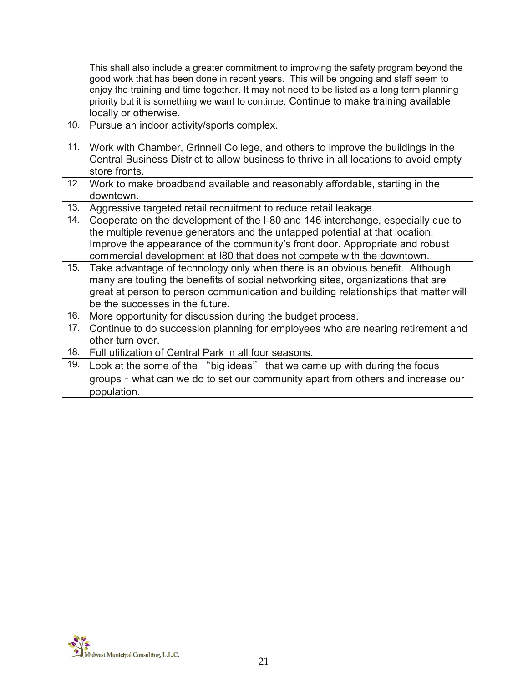|     | This shall also include a greater commitment to improving the safety program beyond the<br>good work that has been done in recent years. This will be ongoing and staff seem to<br>enjoy the training and time together. It may not need to be listed as a long term planning<br>priority but it is something we want to continue. Continue to make training available<br>locally or otherwise. |
|-----|-------------------------------------------------------------------------------------------------------------------------------------------------------------------------------------------------------------------------------------------------------------------------------------------------------------------------------------------------------------------------------------------------|
| 10. | Pursue an indoor activity/sports complex.                                                                                                                                                                                                                                                                                                                                                       |
| 11. | Work with Chamber, Grinnell College, and others to improve the buildings in the<br>Central Business District to allow business to thrive in all locations to avoid empty<br>store fronts.                                                                                                                                                                                                       |
| 12. | Work to make broadband available and reasonably affordable, starting in the<br>downtown.                                                                                                                                                                                                                                                                                                        |
| 13. | Aggressive targeted retail recruitment to reduce retail leakage.                                                                                                                                                                                                                                                                                                                                |
| 14. | Cooperate on the development of the I-80 and 146 interchange, especially due to<br>the multiple revenue generators and the untapped potential at that location.<br>Improve the appearance of the community's front door. Appropriate and robust<br>commercial development at I80 that does not compete with the downtown.                                                                       |
| 15. | Take advantage of technology only when there is an obvious benefit. Although<br>many are touting the benefits of social networking sites, organizations that are<br>great at person to person communication and building relationships that matter will<br>be the successes in the future.                                                                                                      |
| 16. | More opportunity for discussion during the budget process.                                                                                                                                                                                                                                                                                                                                      |
| 17. | Continue to do succession planning for employees who are nearing retirement and<br>other turn over.                                                                                                                                                                                                                                                                                             |
| 18. | Full utilization of Central Park in all four seasons.                                                                                                                                                                                                                                                                                                                                           |
| 19. | Look at the some of the "big ideas" that we came up with during the focus                                                                                                                                                                                                                                                                                                                       |
|     | groups - what can we do to set our community apart from others and increase our<br>population.                                                                                                                                                                                                                                                                                                  |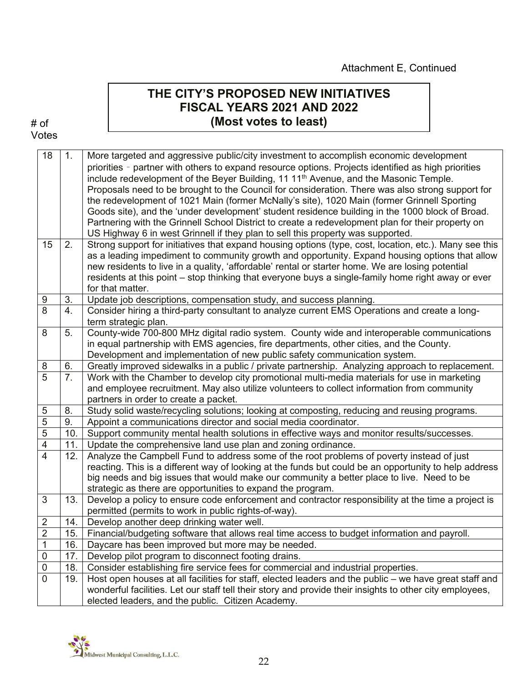#### # of Votes

#### 18 | 1. | More targeted and aggressive public/city investment to accomplish economic development priorities – partner with others to expand resource options. Projects identified as high priorities include redevelopment of the Beyer Building,  $11\,11<sup>th</sup>$  Avenue, and the Masonic Temple. Proposals need to be brought to the Council for consideration. There was also strong support for the redevelopment of 1021 Main (former McNally's site), 1020 Main (former Grinnell Sporting Goods site), and the 'under development' student residence building in the 1000 block of Broad. Partnering with the Grinnell School District to create a redevelopment plan for their property on US Highway 6 in west Grinnell if they plan to sell this property was supported. 15 2. Strong support for initiatives that expand housing options (type, cost, location, etc.). Many see this as a leading impediment to community growth and opportunity. Expand housing options that allow new residents to live in a quality, 'affordable' rental or starter home. We are losing potential residents at this point – stop thinking that everyone buys a single-family home right away or ever for that matter. 9 3. Update job descriptions, compensation study, and success planning.<br>8 4 Consider biring a third-party consultant to analyze current FMS Opera 8 4. Consider hiring a third-party consultant to analyze current EMS Operations and create a longterm strategic plan. 8 | 5. | County-wide 700-800 MHz digital radio system. County wide and interoperable communications in equal partnership with EMS agencies, fire departments, other cities, and the County. Development and implementation of new public safety communication system. 8 6. Greatly improved sidewalks in a public / private partnership. Analyzing approach to replacement.  $5 \mid 7$ . Work with the Chamber to develop city promotional multi-media materials for use in marketing and employee recruitment. May also utilize volunteers to collect information from community partners in order to create a packet. 5 8. Study solid waste/recycling solutions; looking at composting, reducing and reusing programs. 5 9. Appoint a communications director and social media coordinator. 5 10. Support community mental health solutions in effective ways and monitor results/successes. 4 | 11. | Update the comprehensive land use plan and zoning ordinance. 4 | 12. Analyze the Campbell Fund to address some of the root problems of poverty instead of just reacting. This is a different way of looking at the funds but could be an opportunity to help address big needs and big issues that would make our community a better place to live. Need to be strategic as there are opportunities to expand the program. 3 | 13. Develop a policy to ensure code enforcement and contractor responsibility at the time a project is permitted (permits to work in public rights-of-way). 2 14. Develop another deep drinking water well.<br>2 15. Financial/budgeting software that allows re 2 15. Financial/budgeting software that allows real time access to budget information and payroll. 1 | 16. | Daycare has been improved but more may be needed. 0 17. Develop pilot program to disconnect footing drains. 0 18. Consider establishing fire service fees for commercial and industrial properties.<br>0 19. Host open houses at all facilities for staff, elected leaders and the public – we h 19. Host open houses at all facilities for staff, elected leaders and the public – we have great staff and wonderful facilities. Let our staff tell their story and provide their insights to other city employees, elected leaders, and the public. Citizen Academy.

**THE CITY'S PROPOSED NEW INITIATIVES FISCAL YEARS 2021 AND 2022 (Most votes to least)**

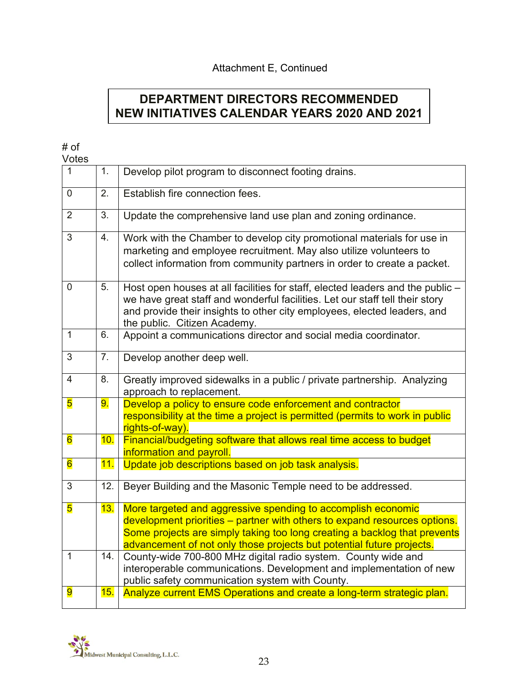# **DEPARTMENT DIRECTORS RECOMMENDED NEW INITIATIVES CALENDAR YEARS 2020 AND 2021**

# of

| Votes |    |                                                                                                          |
|-------|----|----------------------------------------------------------------------------------------------------------|
|       |    | Develop pilot program to disconnect footing drains.                                                      |
|       |    | Establish fire connection fees.                                                                          |
| 2     | 3. | Update the comprehensive land use plan and zonin                                                         |
| 3     | 4. | Work with the Chamber to develop city promotional<br>marketing and employee recruitment. May also utili: |

|                         | <u>.</u> | LSLADIISIT III 6 CONNICCLION T66S.                                                                                                                                                                                                                                                              |  |
|-------------------------|----------|-------------------------------------------------------------------------------------------------------------------------------------------------------------------------------------------------------------------------------------------------------------------------------------------------|--|
| 2                       | 3.       | Update the comprehensive land use plan and zoning ordinance.                                                                                                                                                                                                                                    |  |
| $\overline{3}$          | 4.       | Work with the Chamber to develop city promotional materials for use in<br>marketing and employee recruitment. May also utilize volunteers to<br>collect information from community partners in order to create a packet.                                                                        |  |
| $\overline{0}$          | 5.       | Host open houses at all facilities for staff, elected leaders and the public -<br>we have great staff and wonderful facilities. Let our staff tell their story<br>and provide their insights to other city employees, elected leaders, and<br>the public. Citizen Academy.                      |  |
| $\mathbf{1}$            | 6.       | Appoint a communications director and social media coordinator.                                                                                                                                                                                                                                 |  |
| 3                       | 7.       | Develop another deep well.                                                                                                                                                                                                                                                                      |  |
| $\overline{4}$          | 8.       | Greatly improved sidewalks in a public / private partnership. Analyzing<br>approach to replacement.                                                                                                                                                                                             |  |
| $\overline{5}$          | 9.       | Develop a policy to ensure code enforcement and contractor<br>responsibility at the time a project is permitted (permits to work in public<br>rights-of-way).                                                                                                                                   |  |
| $6\overline{6}$         | 10.      | Financial/budgeting software that allows real time access to budget<br>information and payroll.                                                                                                                                                                                                 |  |
| $6\overline{6}$         | 11.      | Update job descriptions based on job task analysis.                                                                                                                                                                                                                                             |  |
| 3                       | 12.      | Beyer Building and the Masonic Temple need to be addressed.                                                                                                                                                                                                                                     |  |
| $\overline{\mathbf{5}}$ | 13.      | More targeted and aggressive spending to accomplish economic<br>development priorities – partner with others to expand resources options.<br>Some projects are simply taking too long creating a backlog that prevents<br>advancement of not only those projects but potential future projects. |  |
| $\mathbf{1}$            | 14.      | County-wide 700-800 MHz digital radio system. County wide and<br>interoperable communications. Development and implementation of new<br>public safety communication system with County.                                                                                                         |  |
| 9                       | 15.      | Analyze current EMS Operations and create a long-term strategic plan.                                                                                                                                                                                                                           |  |

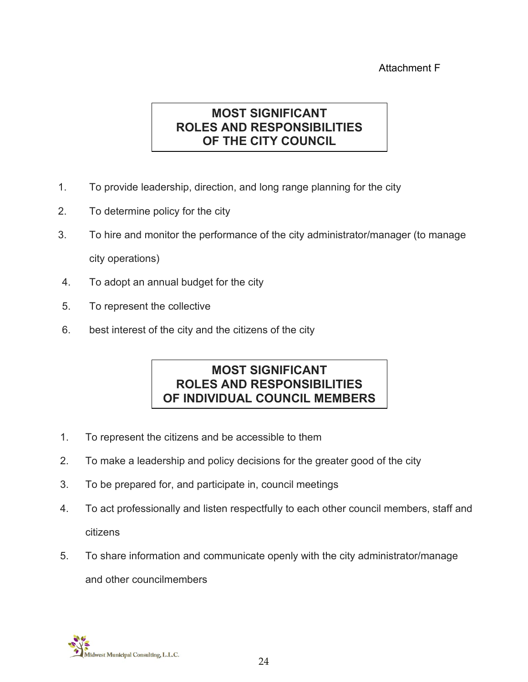#### Attachment F

# **MOST SIGNIFICANT ROLES AND RESPONSIBILITIES OF THE CITY COUNCIL**

- 1. To provide leadership, direction, and long range planning for the city
- 2. To determine policy for the city
- 3. To hire and monitor the performance of the city administrator/manager (to manage city operations)
- 4. To adopt an annual budget for the city
- 5. To represent the collective
- 6. best interest of the city and the citizens of the city

# **MOST SIGNIFICANT ROLES AND RESPONSIBILITIES OF INDIVIDUAL COUNCIL MEMBERS**

- 1. To represent the citizens and be accessible to them
- 2. To make a leadership and policy decisions for the greater good of the city
- 3. To be prepared for, and participate in, council meetings
- 4. To act professionally and listen respectfully to each other council members, staff and citizens
- 5. To share information and communicate openly with the city administrator/manage and other councilmembers

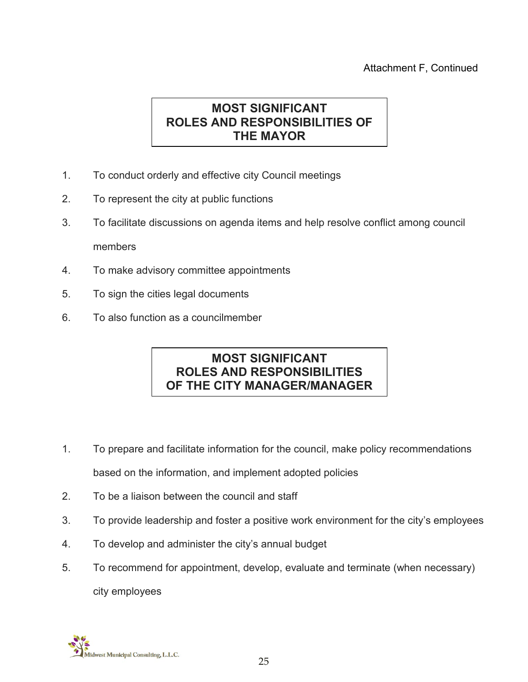# **MOST SIGNIFICANT ROLES AND RESPONSIBILITIES OF THE MAYOR**

- 1. To conduct orderly and effective city Council meetings
- 2. To represent the city at public functions
- 3. To facilitate discussions on agenda items and help resolve conflict among council members
- 4. To make advisory committee appointments
- 5. To sign the cities legal documents
- 6. To also function as a councilmember

# **MOST SIGNIFICANT ROLES AND RESPONSIBILITIES OF THE CITY MANAGER/MANAGER**

- 1. To prepare and facilitate information for the council, make policy recommendations based on the information, and implement adopted policies
- 2. To be a liaison between the council and staff
- 3. To provide leadership and foster a positive work environment for the city's employees
- 4. To develop and administer the city's annual budget
- 5. To recommend for appointment, develop, evaluate and terminate (when necessary) city employees

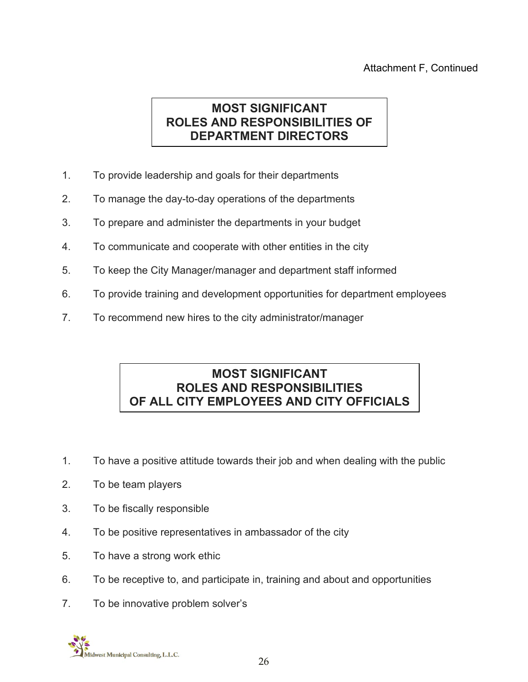# **MOST SIGNIFICANT ROLES AND RESPONSIBILITIES OF DEPARTMENT DIRECTORS**

- 1. To provide leadership and goals for their departments
- 2. To manage the day-to-day operations of the departments
- 3. To prepare and administer the departments in your budget
- 4. To communicate and cooperate with other entities in the city
- 5. To keep the City Manager/manager and department staff informed
- 6. To provide training and development opportunities for department employees
- 7. To recommend new hires to the city administrator/manager

#### **MOST SIGNIFICANT ROLES AND RESPONSIBILITIES OF ALL CITY EMPLOYEES AND CITY OFFICIALS**

- 1. To have a positive attitude towards their job and when dealing with the public
- 2. To be team players
- 3. To be fiscally responsible
- 4. To be positive representatives in ambassador of the city
- 5. To have a strong work ethic
- 6. To be receptive to, and participate in, training and about and opportunities
- 7. To be innovative problem solver's

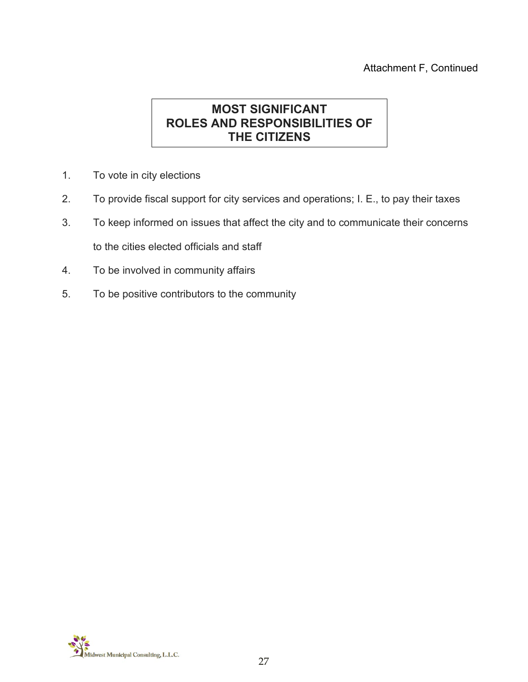# **MOST SIGNIFICANT ROLES AND RESPONSIBILITIES OF THE CITIZENS**

- 1. To vote in city elections
- 2. To provide fiscal support for city services and operations; I. E., to pay their taxes
- 3. To keep informed on issues that affect the city and to communicate their concerns to the cities elected officials and staff
- 4. To be involved in community affairs
- 5. To be positive contributors to the community

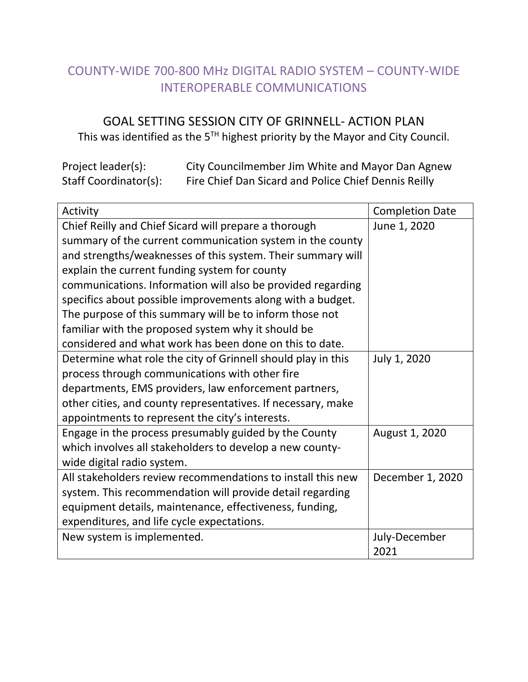# COUNTY-WIDE 700-800 MHz DIGITAL RADIO SYSTEM – COUNTY-WIDE INTEROPERABLE COMMUNICATIONS

GOAL SETTING SESSION CITY OF GRINNELL- ACTION PLAN This was identified as the 5<sup>TH</sup> highest priority by the Mayor and City Council.

Project leader(s): City Councilmember Jim White and Mayor Dan Agnew Staff Coordinator(s): Fire Chief Dan Sicard and Police Chief Dennis Reilly

| Activity                                                     | <b>Completion Date</b> |
|--------------------------------------------------------------|------------------------|
| Chief Reilly and Chief Sicard will prepare a thorough        | June 1, 2020           |
| summary of the current communication system in the county    |                        |
| and strengths/weaknesses of this system. Their summary will  |                        |
| explain the current funding system for county                |                        |
| communications. Information will also be provided regarding  |                        |
| specifics about possible improvements along with a budget.   |                        |
| The purpose of this summary will be to inform those not      |                        |
| familiar with the proposed system why it should be           |                        |
| considered and what work has been done on this to date.      |                        |
| Determine what role the city of Grinnell should play in this | July 1, 2020           |
| process through communications with other fire               |                        |
| departments, EMS providers, law enforcement partners,        |                        |
| other cities, and county representatives. If necessary, make |                        |
| appointments to represent the city's interests.              |                        |
| Engage in the process presumably guided by the County        | August 1, 2020         |
| which involves all stakeholders to develop a new county-     |                        |
| wide digital radio system.                                   |                        |
| All stakeholders review recommendations to install this new  | December 1, 2020       |
| system. This recommendation will provide detail regarding    |                        |
| equipment details, maintenance, effectiveness, funding,      |                        |
| expenditures, and life cycle expectations.                   |                        |
| New system is implemented.                                   | July-December          |
|                                                              | 2021                   |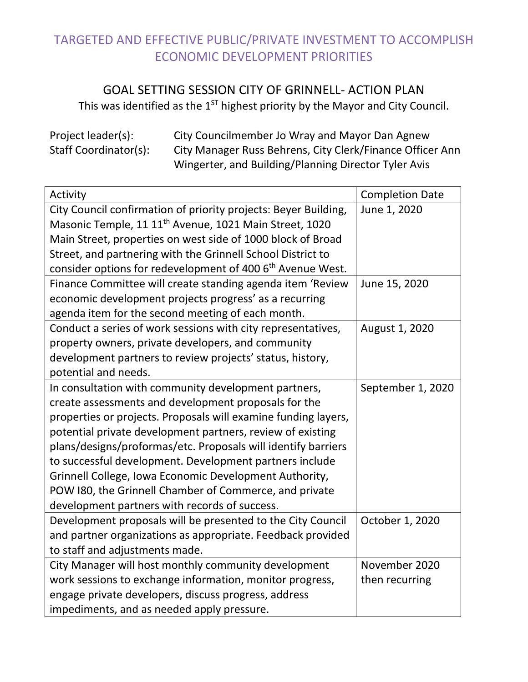# TARGETED AND EFFECTIVE PUBLIC/PRIVATE INVESTMENT TO ACCOMPLISH ECONOMIC DEVELOPMENT PRIORITIES

# GOAL SETTING SESSION CITY OF GRINNELL- ACTION PLAN This was identified as the  $1<sup>ST</sup>$  highest priority by the Mayor and City Council.

| Project leader(s):    | City Councilmember Jo Wray and Mayor Dan Agnew            |
|-----------------------|-----------------------------------------------------------|
| Staff Coordinator(s): | City Manager Russ Behrens, City Clerk/Finance Officer Ann |
|                       | Wingerter, and Building/Planning Director Tyler Avis      |

| Activity                                                               | <b>Completion Date</b> |
|------------------------------------------------------------------------|------------------------|
| City Council confirmation of priority projects: Beyer Building,        | June 1, 2020           |
| Masonic Temple, 11 11 <sup>th</sup> Avenue, 1021 Main Street, 1020     |                        |
| Main Street, properties on west side of 1000 block of Broad            |                        |
| Street, and partnering with the Grinnell School District to            |                        |
| consider options for redevelopment of 400 6 <sup>th</sup> Avenue West. |                        |
| Finance Committee will create standing agenda item 'Review             | June 15, 2020          |
| economic development projects progress' as a recurring                 |                        |
| agenda item for the second meeting of each month.                      |                        |
| Conduct a series of work sessions with city representatives,           | August 1, 2020         |
| property owners, private developers, and community                     |                        |
| development partners to review projects' status, history,              |                        |
| potential and needs.                                                   |                        |
| In consultation with community development partners,                   | September 1, 2020      |
| create assessments and development proposals for the                   |                        |
| properties or projects. Proposals will examine funding layers,         |                        |
| potential private development partners, review of existing             |                        |
| plans/designs/proformas/etc. Proposals will identify barriers          |                        |
| to successful development. Development partners include                |                        |
| Grinnell College, Iowa Economic Development Authority,                 |                        |
| POW I80, the Grinnell Chamber of Commerce, and private                 |                        |
| development partners with records of success.                          |                        |
| Development proposals will be presented to the City Council            | October 1, 2020        |
| and partner organizations as appropriate. Feedback provided            |                        |
| to staff and adjustments made.                                         |                        |
| City Manager will host monthly community development                   | November 2020          |
| work sessions to exchange information, monitor progress,               | then recurring         |
| engage private developers, discuss progress, address                   |                        |
| impediments, and as needed apply pressure.                             |                        |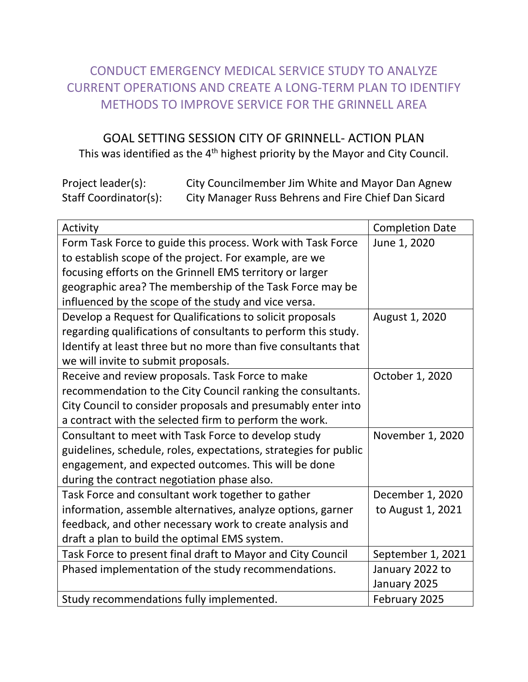# CONDUCT EMERGENCY MEDICAL SERVICE STUDY TO ANALYZE CURRENT OPERATIONS AND CREATE A LONG-TERM PLAN TO IDENTIFY METHODS TO IMPROVE SERVICE FOR THE GRINNELL AREA

# GOAL SETTING SESSION CITY OF GRINNELL- ACTION PLAN This was identified as the 4<sup>th</sup> highest priority by the Mayor and City Council.

Project leader(s): City Councilmember Jim White and Mayor Dan Agnew Staff Coordinator(s): City Manager Russ Behrens and Fire Chief Dan Sicard

| Activity                                                         | <b>Completion Date</b> |
|------------------------------------------------------------------|------------------------|
| Form Task Force to guide this process. Work with Task Force      | June 1, 2020           |
| to establish scope of the project. For example, are we           |                        |
| focusing efforts on the Grinnell EMS territory or larger         |                        |
| geographic area? The membership of the Task Force may be         |                        |
| influenced by the scope of the study and vice versa.             |                        |
| Develop a Request for Qualifications to solicit proposals        | August 1, 2020         |
| regarding qualifications of consultants to perform this study.   |                        |
| Identify at least three but no more than five consultants that   |                        |
| we will invite to submit proposals.                              |                        |
| Receive and review proposals. Task Force to make                 | October 1, 2020        |
| recommendation to the City Council ranking the consultants.      |                        |
| City Council to consider proposals and presumably enter into     |                        |
| a contract with the selected firm to perform the work.           |                        |
| Consultant to meet with Task Force to develop study              | November 1, 2020       |
| guidelines, schedule, roles, expectations, strategies for public |                        |
| engagement, and expected outcomes. This will be done             |                        |
| during the contract negotiation phase also.                      |                        |
| Task Force and consultant work together to gather                | December 1, 2020       |
| information, assemble alternatives, analyze options, garner      | to August 1, 2021      |
| feedback, and other necessary work to create analysis and        |                        |
| draft a plan to build the optimal EMS system.                    |                        |
| Task Force to present final draft to Mayor and City Council      | September 1, 2021      |
| Phased implementation of the study recommendations.              | January 2022 to        |
|                                                                  | January 2025           |
| Study recommendations fully implemented.                         | February 2025          |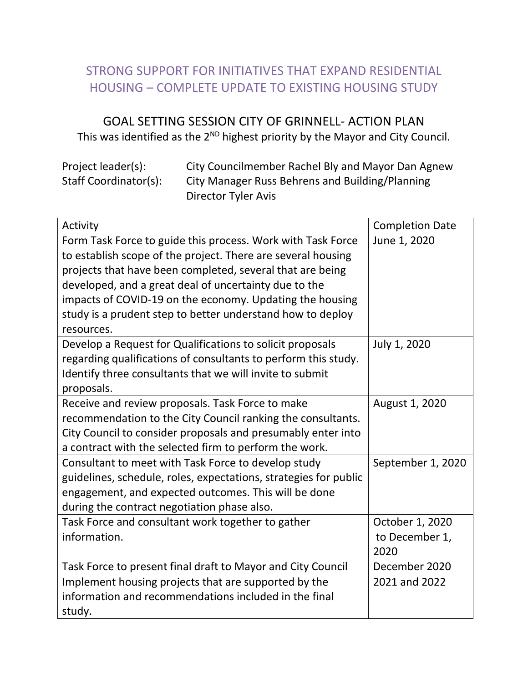# STRONG SUPPORT FOR INITIATIVES THAT EXPAND RESIDENTIAL HOUSING – COMPLETE UPDATE TO EXISTING HOUSING STUDY

# GOAL SETTING SESSION CITY OF GRINNELL- ACTION PLAN This was identified as the 2<sup>ND</sup> highest priority by the Mayor and City Council.

| Project leader(s):    | City Councilmember Rachel Bly and Mayor Dan Agnew |
|-----------------------|---------------------------------------------------|
| Staff Coordinator(s): | City Manager Russ Behrens and Building/Planning   |
|                       | Director Tyler Avis                               |

| Activity                                                         | <b>Completion Date</b> |
|------------------------------------------------------------------|------------------------|
| Form Task Force to guide this process. Work with Task Force      | June 1, 2020           |
| to establish scope of the project. There are several housing     |                        |
| projects that have been completed, several that are being        |                        |
| developed, and a great deal of uncertainty due to the            |                        |
| impacts of COVID-19 on the economy. Updating the housing         |                        |
| study is a prudent step to better understand how to deploy       |                        |
| resources.                                                       |                        |
| Develop a Request for Qualifications to solicit proposals        | July 1, 2020           |
| regarding qualifications of consultants to perform this study.   |                        |
| Identify three consultants that we will invite to submit         |                        |
| proposals.                                                       |                        |
| Receive and review proposals. Task Force to make                 | August 1, 2020         |
| recommendation to the City Council ranking the consultants.      |                        |
| City Council to consider proposals and presumably enter into     |                        |
| a contract with the selected firm to perform the work.           |                        |
| Consultant to meet with Task Force to develop study              | September 1, 2020      |
| guidelines, schedule, roles, expectations, strategies for public |                        |
| engagement, and expected outcomes. This will be done             |                        |
| during the contract negotiation phase also.                      |                        |
| Task Force and consultant work together to gather                | October 1, 2020        |
| information.                                                     | to December 1,         |
|                                                                  | 2020                   |
| Task Force to present final draft to Mayor and City Council      | December 2020          |
| Implement housing projects that are supported by the             | 2021 and 2022          |
| information and recommendations included in the final            |                        |
| study.                                                           |                        |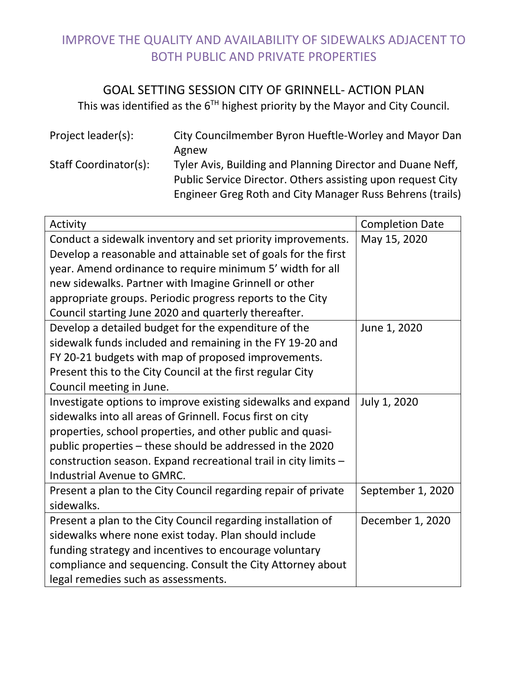# IMPROVE THE QUALITY AND AVAILABILITY OF SIDEWALKS ADJACENT TO BOTH PUBLIC AND PRIVATE PROPERTIES

# GOAL SETTING SESSION CITY OF GRINNELL- ACTION PLAN This was identified as the  $6^{TH}$  highest priority by the Mayor and City Council.

| City Councilmember Byron Hueftle-Worley and Mayor Dan       |
|-------------------------------------------------------------|
| Agnew                                                       |
| Tyler Avis, Building and Planning Director and Duane Neff,  |
| Public Service Director. Others assisting upon request City |
| Engineer Greg Roth and City Manager Russ Behrens (trails)   |
|                                                             |

| Activity                                                        | <b>Completion Date</b> |
|-----------------------------------------------------------------|------------------------|
| Conduct a sidewalk inventory and set priority improvements.     | May 15, 2020           |
| Develop a reasonable and attainable set of goals for the first  |                        |
| year. Amend ordinance to require minimum 5' width for all       |                        |
| new sidewalks. Partner with Imagine Grinnell or other           |                        |
| appropriate groups. Periodic progress reports to the City       |                        |
| Council starting June 2020 and quarterly thereafter.            |                        |
| Develop a detailed budget for the expenditure of the            | June 1, 2020           |
| sidewalk funds included and remaining in the FY 19-20 and       |                        |
| FY 20-21 budgets with map of proposed improvements.             |                        |
| Present this to the City Council at the first regular City      |                        |
| Council meeting in June.                                        |                        |
| Investigate options to improve existing sidewalks and expand    | July 1, 2020           |
| sidewalks into all areas of Grinnell. Focus first on city       |                        |
| properties, school properties, and other public and quasi-      |                        |
| public properties – these should be addressed in the 2020       |                        |
| construction season. Expand recreational trail in city limits - |                        |
| Industrial Avenue to GMRC.                                      |                        |
| Present a plan to the City Council regarding repair of private  | September 1, 2020      |
| sidewalks.                                                      |                        |
| Present a plan to the City Council regarding installation of    | December 1, 2020       |
| sidewalks where none exist today. Plan should include           |                        |
| funding strategy and incentives to encourage voluntary          |                        |
| compliance and sequencing. Consult the City Attorney about      |                        |
| legal remedies such as assessments.                             |                        |